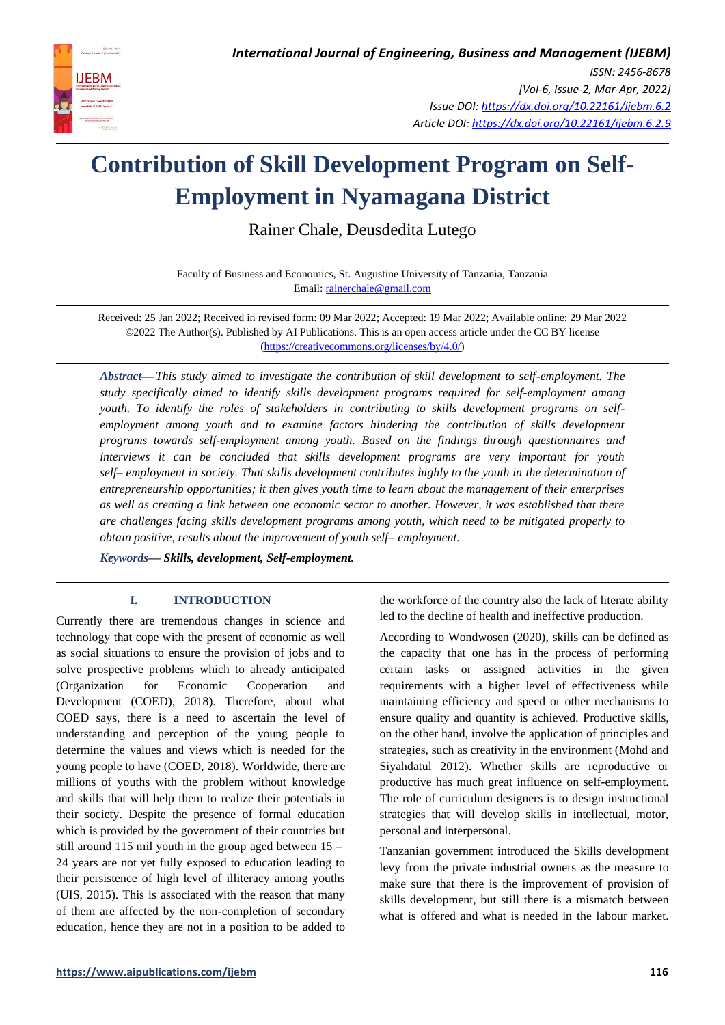

# **Contribution of Skill Development Program on Self-Employment in Nyamagana District**

Rainer Chale, Deusdedita Lutego

Faculty of Business and Economics, St. Augustine University of Tanzania, Tanzania Email[: rainerchale@gmail.com](mailto:rainerchale@gmail.com)

Received: 25 Jan 2022; Received in revised form: 09 Mar 2022; Accepted: 19 Mar 2022; Available online: 29 Mar 2022 ©2022 The Author(s). Published by AI Publications. This is an open access article under the CC BY license [\(https://creativecommons.org/licenses/by/4.0/\)](https://creativecommons.org/licenses/by/4.0/)

*Abstract—This study aimed to investigate the contribution of skill development to self-employment. The study specifically aimed to identify skills development programs required for self-employment among youth. To identify the roles of stakeholders in contributing to skills development programs on self*employment among youth and to examine factors hindering the contribution of skills development *programs towards self-employment among youth. Based on the findings through questionnaires and interviews it can be concluded that skills development programs are very important for youth self– employment in society. That skills development contributes highly to the youth in the determination of entrepreneurship opportunities; it then gives youth time to learn about the management of their enterprises as well as creating a link between one economic sector to another. However, it was established that there are challenges facing skills development programs among youth, which need to be mitigated properly to obtain positive, results about the improvement of youth self– employment.* 

*Keywords— Skills, development, Self-employment.*

# **I. INTRODUCTION**

Currently there are tremendous changes in science and technology that cope with the present of economic as well as social situations to ensure the provision of jobs and to solve prospective problems which to already anticipated (Organization for Economic Cooperation and Development (COED), 2018). Therefore, about what COED says, there is a need to ascertain the level of understanding and perception of the young people to determine the values and views which is needed for the young people to have (COED, 2018). Worldwide, there are millions of youths with the problem without knowledge and skills that will help them to realize their potentials in their society. Despite the presence of formal education which is provided by the government of their countries but still around 115 mil youth in the group aged between 15 – 24 years are not yet fully exposed to education leading to their persistence of high level of illiteracy among youths (UIS, 2015). This is associated with the reason that many of them are affected by the non-completion of secondary education, hence they are not in a position to be added to the workforce of the country also the lack of literate ability led to the decline of health and ineffective production.

According to Wondwosen (2020), skills can be defined as the capacity that one has in the process of performing certain tasks or assigned activities in the given requirements with a higher level of effectiveness while maintaining efficiency and speed or other mechanisms to ensure quality and quantity is achieved. Productive skills, on the other hand, involve the application of principles and strategies, such as creativity in the environment (Mohd and Siyahdatul 2012). Whether skills are reproductive or productive has much great influence on self-employment. The role of curriculum designers is to design instructional strategies that will develop skills in intellectual, motor, personal and interpersonal.

Tanzanian government introduced the Skills development levy from the private industrial owners as the measure to make sure that there is the improvement of provision of skills development, but still there is a mismatch between what is offered and what is needed in the labour market.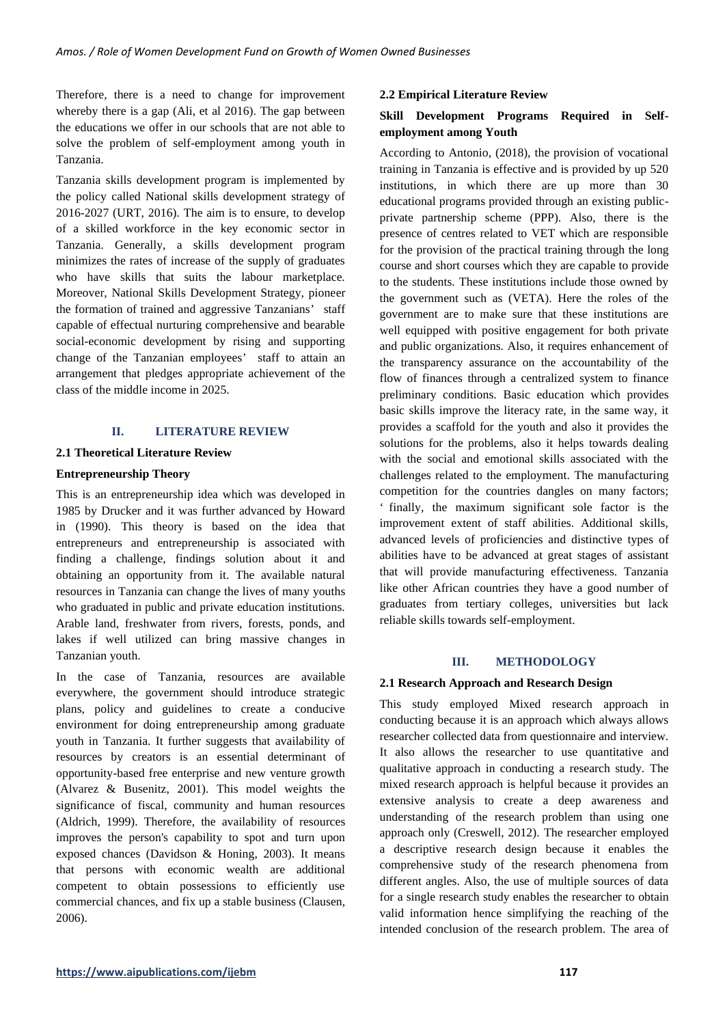Therefore, there is a need to change for improvement whereby there is a gap (Ali, et al 2016). The gap between the educations we offer in our schools that are not able to solve the problem of self-employment among youth in Tanzania.

Tanzania skills development program is implemented by the policy called National skills development strategy of 2016-2027 (URT, 2016). The aim is to ensure, to develop of a skilled workforce in the key economic sector in Tanzania. Generally, a skills development program minimizes the rates of increase of the supply of graduates who have skills that suits the labour marketplace. Moreover, National Skills Development Strategy, pioneer the formation of trained and aggressive Tanzanians' staff capable of effectual nurturing comprehensive and bearable social-economic development by rising and supporting change of the Tanzanian employees' staff to attain an arrangement that pledges appropriate achievement of the class of the middle income in 2025.

# **II. LITERATURE REVIEW**

# **2.1 Theoretical Literature Review**

# **Entrepreneurship Theory**

This is an entrepreneurship idea which was developed in 1985 by Drucker and it was further advanced by Howard in (1990). This theory is based on the idea that entrepreneurs and entrepreneurship is associated with finding a challenge, findings solution about it and obtaining an opportunity from it. The available natural resources in Tanzania can change the lives of many youths who graduated in public and private education institutions. Arable land, freshwater from rivers, forests, ponds, and lakes if well utilized can bring massive changes in Tanzanian youth.

In the case of Tanzania, resources are available everywhere, the government should introduce strategic plans, policy and guidelines to create a conducive environment for doing entrepreneurship among graduate youth in Tanzania. It further suggests that availability of resources by creators is an essential determinant of opportunity-based free enterprise and new venture growth (Alvarez & Busenitz, 2001). This model weights the significance of fiscal, community and human resources (Aldrich, 1999). Therefore, the availability of resources improves the person's capability to spot and turn upon exposed chances (Davidson & Honing, 2003). It means that persons with economic wealth are additional competent to obtain possessions to efficiently use commercial chances, and fix up a stable business (Clausen, 2006).

# **2.2 Empirical Literature Review**

# **Skill Development Programs Required in Selfemployment among Youth**

According to Antonio, (2018), the provision of vocational training in Tanzania is effective and is provided by up 520 institutions, in which there are up more than 30 educational programs provided through an existing publicprivate partnership scheme (PPP). Also, there is the presence of centres related to VET which are responsible for the provision of the practical training through the long course and short courses which they are capable to provide to the students. These institutions include those owned by the government such as (VETA). Here the roles of the government are to make sure that these institutions are well equipped with positive engagement for both private and public organizations. Also, it requires enhancement of the transparency assurance on the accountability of the flow of finances through a centralized system to finance preliminary conditions. Basic education which provides basic skills improve the literacy rate, in the same way, it provides a scaffold for the youth and also it provides the solutions for the problems, also it helps towards dealing with the social and emotional skills associated with the challenges related to the employment. The manufacturing competition for the countries dangles on many factors; ' finally, the maximum significant sole factor is the improvement extent of staff abilities. Additional skills, advanced levels of proficiencies and distinctive types of abilities have to be advanced at great stages of assistant that will provide manufacturing effectiveness. Tanzania like other African countries they have a good number of graduates from tertiary colleges, universities but lack reliable skills towards self-employment.

# **III. METHODOLOGY**

# **2.1 Research Approach and Research Design**

This study employed Mixed research approach in conducting because it is an approach which always allows researcher collected data from questionnaire and interview. It also allows the researcher to use quantitative and qualitative approach in conducting a research study. The mixed research approach is helpful because it provides an extensive analysis to create a deep awareness and understanding of the research problem than using one approach only (Creswell, 2012). The researcher employed a descriptive research design because it enables the comprehensive study of the research phenomena from different angles. Also, the use of multiple sources of data for a single research study enables the researcher to obtain valid information hence simplifying the reaching of the intended conclusion of the research problem. The area of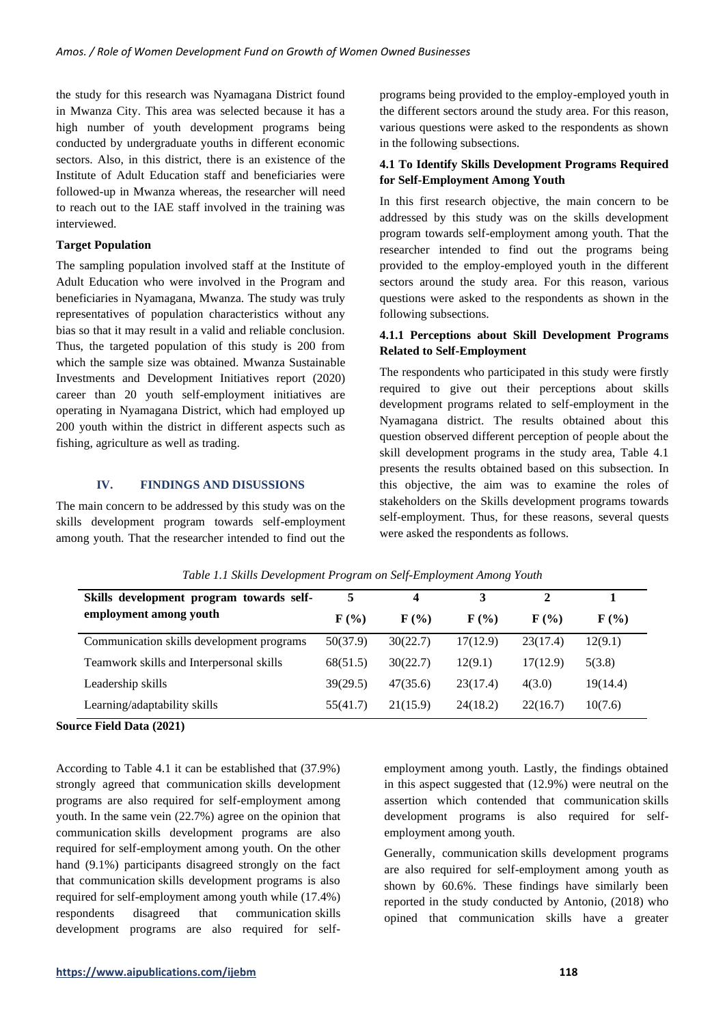the study for this research was Nyamagana District found in Mwanza City. This area was selected because it has a high number of youth development programs being conducted by undergraduate youths in different economic sectors. Also, in this district, there is an existence of the Institute of Adult Education staff and beneficiaries were followed-up in Mwanza whereas, the researcher will need to reach out to the IAE staff involved in the training was interviewed.

# **Target Population**

The sampling population involved staff at the Institute of Adult Education who were involved in the Program and beneficiaries in Nyamagana, Mwanza. The study was truly representatives of population characteristics without any bias so that it may result in a valid and reliable conclusion. Thus, the targeted population of this study is 200 from which the sample size was obtained. Mwanza Sustainable Investments and Development Initiatives report (2020) career than 20 youth self-employment initiatives are operating in Nyamagana District, which had employed up 200 youth within the district in different aspects such as fishing, agriculture as well as trading.

# **IV. FINDINGS AND DISUSSIONS**

The main concern to be addressed by this study was on the skills development program towards self-employment among youth. That the researcher intended to find out the programs being provided to the employ-employed youth in the different sectors around the study area. For this reason, various questions were asked to the respondents as shown in the following subsections.

# **4.1 To Identify Skills Development Programs Required for Self-Employment Among Youth**

In this first research objective, the main concern to be addressed by this study was on the skills development program towards self-employment among youth. That the researcher intended to find out the programs being provided to the employ-employed youth in the different sectors around the study area. For this reason, various questions were asked to the respondents as shown in the following subsections.

# **4.1.1 Perceptions about Skill Development Programs Related to Self-Employment**

The respondents who participated in this study were firstly required to give out their perceptions about skills development programs related to self-employment in the Nyamagana district. The results obtained about this question observed different perception of people about the skill development programs in the study area, Table 4.1 presents the results obtained based on this subsection. In this objective, the aim was to examine the roles of stakeholders on the Skills development programs towards self-employment. Thus, for these reasons, several quests were asked the respondents as follows.

| Skills development program towards self-  | 5                         | 4                           | 3                         |                           |                             |
|-------------------------------------------|---------------------------|-----------------------------|---------------------------|---------------------------|-----------------------------|
| employment among youth                    | $\mathbf{F}(\mathcal{C})$ | $\mathbf{F}(\mathcal{V}_0)$ | $\mathbf{F}(\mathcal{C})$ | $\mathbf{F}(\mathcal{C})$ | $\mathbf{F}(\mathcal{V}_0)$ |
| Communication skills development programs | 50(37.9)                  | 30(22.7)                    | 17(12.9)                  | 23(17.4)                  | 12(9.1)                     |
| Teamwork skills and Interpersonal skills  | 68(51.5)                  | 30(22.7)                    | 12(9.1)                   | 17(12.9)                  | 5(3.8)                      |
| Leadership skills                         | 39(29.5)                  | 47(35.6)                    | 23(17.4)                  | 4(3.0)                    | 19(14.4)                    |
| Learning/adaptability skills              | 55(41.7)                  | 21(15.9)                    | 24(18.2)                  | 22(16.7)                  | 10(7.6)                     |

*Table 1.1 Skills Development Program on Self-Employment Among Youth*

# **Source Field Data (2021)**

According to Table 4.1 it can be established that (37.9%) strongly agreed that communication skills development programs are also required for self-employment among youth. In the same vein (22.7%) agree on the opinion that communication skills development programs are also required for self-employment among youth. On the other hand (9.1%) participants disagreed strongly on the fact that communication skills development programs is also required for self-employment among youth while (17.4%) respondents disagreed that communication skills development programs are also required for selfemployment among youth. Lastly, the findings obtained in this aspect suggested that (12.9%) were neutral on the assertion which contended that communication skills development programs is also required for selfemployment among youth.

Generally, communication skills development programs are also required for self-employment among youth as shown by 60.6%. These findings have similarly been reported in the study conducted by Antonio, (2018) who opined that communication skills have a greater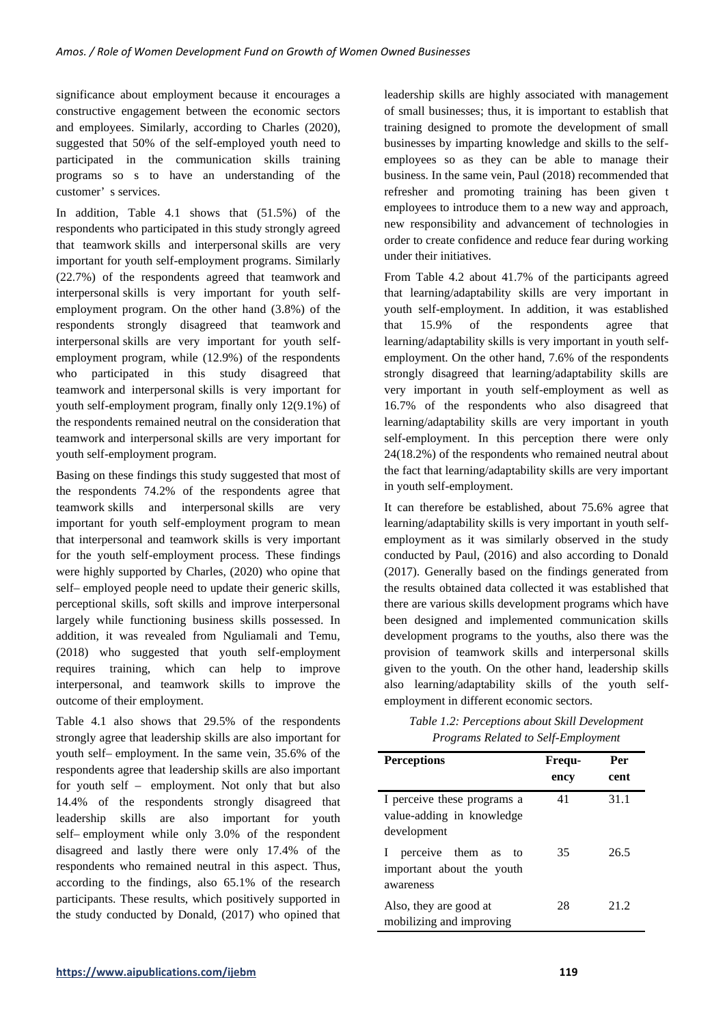significance about employment because it encourages a constructive engagement between the economic sectors and employees. Similarly, according to Charles (2020), suggested that 50% of the self-employed youth need to participated in the communication skills training programs so s to have an understanding of the customer' s services.

In addition, Table 4.1 shows that (51.5%) of the respondents who participated in this study strongly agreed that teamwork skills and interpersonal skills are very important for youth self-employment programs. Similarly (22.7%) of the respondents agreed that teamwork and interpersonal skills is very important for youth selfemployment program. On the other hand (3.8%) of the respondents strongly disagreed that teamwork and interpersonal skills are very important for youth selfemployment program, while (12.9%) of the respondents who participated in this study disagreed that teamwork and interpersonal skills is very important for youth self-employment program, finally only 12(9.1%) of the respondents remained neutral on the consideration that teamwork and interpersonal skills are very important for youth self-employment program.

Basing on these findings this study suggested that most of the respondents 74.2% of the respondents agree that teamwork skills and interpersonal skills are very important for youth self-employment program to mean that interpersonal and teamwork skills is very important for the youth self-employment process. These findings were highly supported by Charles, (2020) who opine that self– employed people need to update their generic skills, perceptional skills, soft skills and improve interpersonal largely while functioning business skills possessed. In addition, it was revealed from Nguliamali and Temu, (2018) who suggested that youth self-employment requires training, which can help to improve interpersonal, and teamwork skills to improve the outcome of their employment.

Table 4.1 also shows that 29.5% of the respondents strongly agree that leadership skills are also important for youth self– employment. In the same vein, 35.6% of the respondents agree that leadership skills are also important for youth self – employment. Not only that but also 14.4% of the respondents strongly disagreed that leadership skills are also important for youth self– employment while only 3.0% of the respondent disagreed and lastly there were only 17.4% of the respondents who remained neutral in this aspect. Thus, according to the findings, also 65.1% of the research participants. These results, which positively supported in the study conducted by Donald, (2017) who opined that

leadership skills are highly associated with management of small businesses; thus, it is important to establish that training designed to promote the development of small businesses by imparting knowledge and skills to the selfemployees so as they can be able to manage their business. In the same vein, Paul (2018) recommended that refresher and promoting training has been given t employees to introduce them to a new way and approach, new responsibility and advancement of technologies in order to create confidence and reduce fear during working under their initiatives.

From Table 4.2 about 41.7% of the participants agreed that learning/adaptability skills are very important in youth self-employment. In addition, it was established that 15.9% of the respondents agree that learning/adaptability skills is very important in youth selfemployment. On the other hand, 7.6% of the respondents strongly disagreed that learning/adaptability skills are very important in youth self-employment as well as 16.7% of the respondents who also disagreed that learning/adaptability skills are very important in youth self-employment. In this perception there were only 24(18.2%) of the respondents who remained neutral about the fact that learning/adaptability skills are very important in youth self-employment.

It can therefore be established, about 75.6% agree that learning/adaptability skills is very important in youth selfemployment as it was similarly observed in the study conducted by Paul, (2016) and also according to Donald (2017). Generally based on the findings generated from the results obtained data collected it was established that there are various skills development programs which have been designed and implemented communication skills development programs to the youths, also there was the provision of teamwork skills and interpersonal skills given to the youth. On the other hand, leadership skills also learning/adaptability skills of the youth selfemployment in different economic sectors.

| Table 1.2: Perceptions about Skill Development |
|------------------------------------------------|
| Programs Related to Self-Employment            |

| <b>Perceptions</b>                                                      | Frequ-<br>ency | Per<br>cent |
|-------------------------------------------------------------------------|----------------|-------------|
| I perceive these programs a<br>value-adding in knowledge<br>development | 41             | 31.1        |
| perceive them as to<br>important about the youth<br>awareness           | 35             | 26.5        |
| Also, they are good at<br>mobilizing and improving                      | 28             | 212         |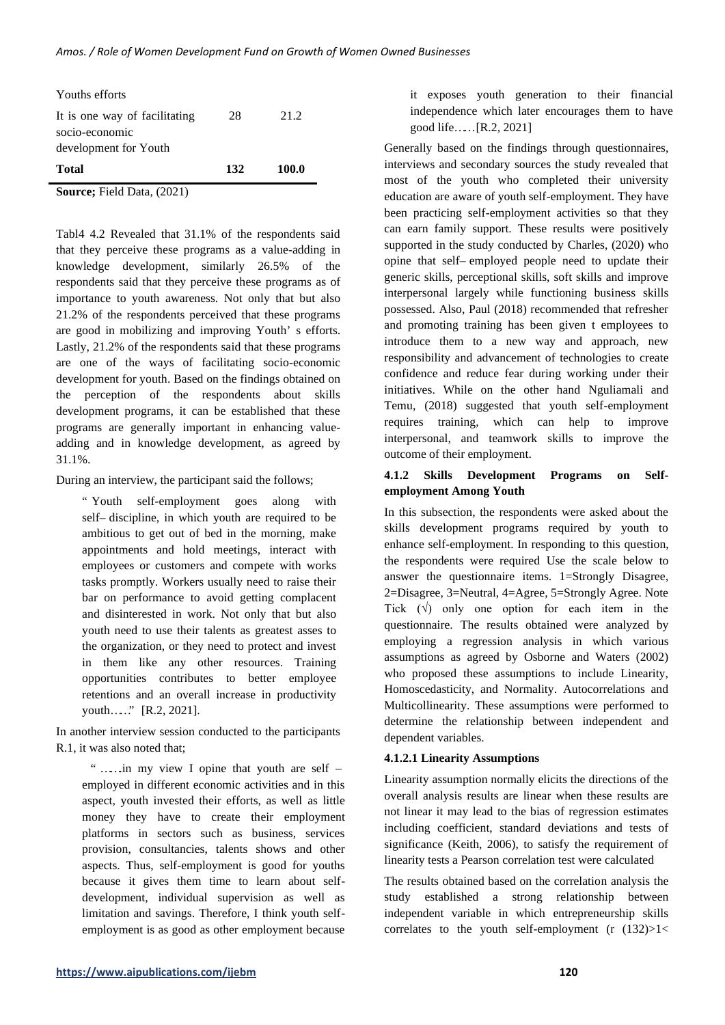| Total                         | 132 | 100.0 |
|-------------------------------|-----|-------|
| development for Youth         |     |       |
| socio-economic                |     |       |
| It is one way of facilitating | 28  | 21.2  |
| Youths efforts                |     |       |

**Source;** Field Data, (2021)

Tabl4 4.2 Revealed that 31.1% of the respondents said that they perceive these programs as a value-adding in knowledge development, similarly 26.5% of the respondents said that they perceive these programs as of importance to youth awareness. Not only that but also 21.2% of the respondents perceived that these programs are good in mobilizing and improving Youth' s efforts. Lastly, 21.2% of the respondents said that these programs are one of the ways of facilitating socio-economic development for youth. Based on the findings obtained on the perception of the respondents about skills development programs, it can be established that these programs are generally important in enhancing valueadding and in knowledge development, as agreed by 31.1%.

During an interview, the participant said the follows;

" Youth self-employment goes along with self– discipline, in which youth are required to be ambitious to get out of bed in the morning, make appointments and hold meetings, interact with employees or customers and compete with works tasks promptly. Workers usually need to raise their bar on performance to avoid getting complacent and disinterested in work. Not only that but also youth need to use their talents as greatest asses to the organization, or they need to protect and invest in them like any other resources. Training opportunities contributes to better employee retentions and an overall increase in productivity youth……" [R.2, 2021].

In another interview session conducted to the participants R.1, it was also noted that;

" …….in my view I opine that youth are self – employed in different economic activities and in this aspect, youth invested their efforts, as well as little money they have to create their employment platforms in sectors such as business, services provision, consultancies, talents shows and other aspects. Thus, self-employment is good for youths because it gives them time to learn about selfdevelopment, individual supervision as well as limitation and savings. Therefore, I think youth selfemployment is as good as other employment because it exposes youth generation to their financial independence which later encourages them to have good life…… [R.2, 2021]

Generally based on the findings through questionnaires, interviews and secondary sources the study revealed that most of the youth who completed their university education are aware of youth self-employment. They have been practicing self-employment activities so that they can earn family support. These results were positively supported in the study conducted by Charles, (2020) who opine that self– employed people need to update their generic skills, perceptional skills, soft skills and improve interpersonal largely while functioning business skills possessed. Also, Paul (2018) recommended that refresher and promoting training has been given t employees to introduce them to a new way and approach, new responsibility and advancement of technologies to create confidence and reduce fear during working under their initiatives. While on the other hand Nguliamali and Temu, (2018) suggested that youth self-employment requires training, which can help to improve interpersonal, and teamwork skills to improve the outcome of their employment.

# **4.1.2 Skills Development Programs on Selfemployment Among Youth**

In this subsection, the respondents were asked about the skills development programs required by youth to enhance self-employment. In responding to this question, the respondents were required Use the scale below to answer the questionnaire items. 1=Strongly Disagree, 2=Disagree, 3=Neutral, 4=Agree, 5=Strongly Agree. Note Tick  $(\sqrt{})$  only one option for each item in the questionnaire. The results obtained were analyzed by employing a regression analysis in which various assumptions as agreed by Osborne and Waters (2002) who proposed these assumptions to include Linearity, Homoscedasticity, and Normality. Autocorrelations and Multicollinearity. These assumptions were performed to determine the relationship between independent and dependent variables.

# **4.1.2.1 Linearity Assumptions**

Linearity assumption normally elicits the directions of the overall analysis results are linear when these results are not linear it may lead to the bias of regression estimates including coefficient, standard deviations and tests of significance (Keith, 2006), to satisfy the requirement of linearity tests a Pearson correlation test were calculated

The results obtained based on the correlation analysis the study established a strong relationship between independent variable in which entrepreneurship skills correlates to the youth self-employment  $(r (132))>1$ <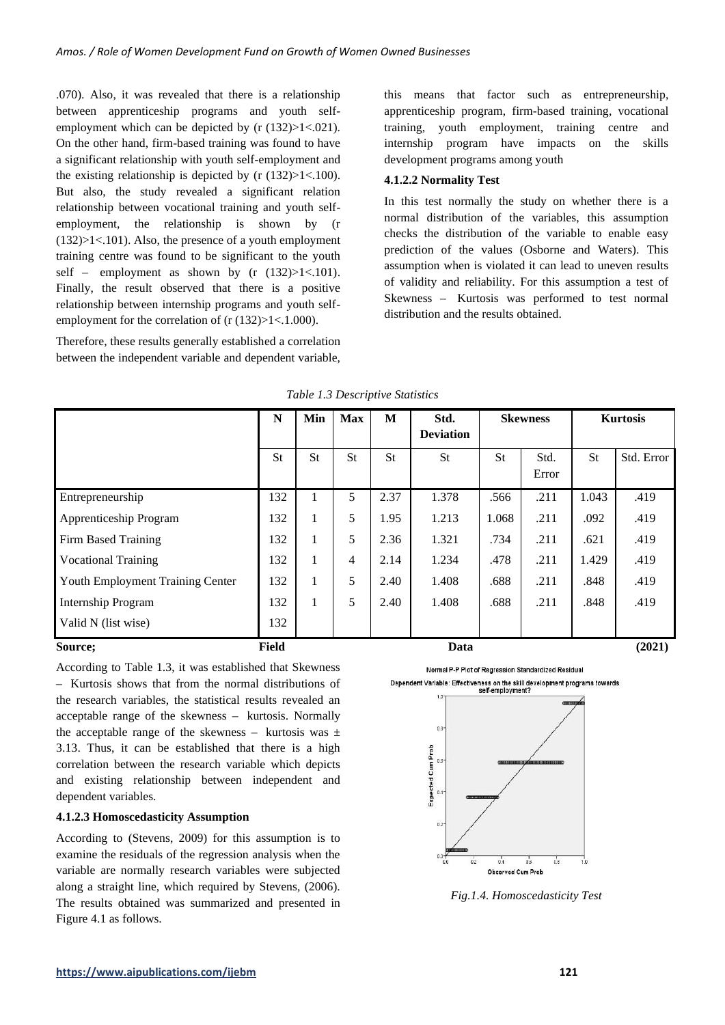.070). Also, it was revealed that there is a relationship between apprenticeship programs and youth selfemployment which can be depicted by (r  $(132) > 1 < .021$ ). On the other hand, firm-based training was found to have a significant relationship with youth self-employment and the existing relationship is depicted by  $(r (132) > 1 < .100)$ . But also, the study revealed a significant relation relationship between vocational training and youth selfemployment, the relationship is shown by (r  $(132) > 1 < .101$ . Also, the presence of a youth employment training centre was found to be significant to the youth self – employment as shown by  $(r (132) > 1 < .101)$ . Finally, the result observed that there is a positive relationship between internship programs and youth selfemployment for the correlation of (r  $(132)$ >1<.1.000).

Therefore, these results generally established a correlation between the independent variable and dependent variable, this means that factor such as entrepreneurship, apprenticeship program, firm-based training, vocational training, youth employment, training centre and internship program have impacts on the skills development programs among youth

# **4.1.2.2 Normality Test**

In this test normally the study on whether there is a normal distribution of the variables, this assumption checks the distribution of the variable to enable easy prediction of the values (Osborne and Waters). This assumption when is violated it can lead to uneven results of validity and reliability. For this assumption a test of Skewness – Kurtosis was performed to test normal distribution and the results obtained.

|                                  | N         | Min       | <b>Max</b> | M    | Std.<br><b>Deviation</b> | <b>Skewness</b> |               | <b>Kurtosis</b> |            |
|----------------------------------|-----------|-----------|------------|------|--------------------------|-----------------|---------------|-----------------|------------|
|                                  | <b>St</b> | <b>St</b> | <b>St</b>  | St   | <b>St</b>                | <b>St</b>       | Std.<br>Error | <b>St</b>       | Std. Error |
| Entrepreneurship                 | 132       | 1         | 5          | 2.37 | 1.378                    | .566            | .211          | 1.043           | .419       |
| Apprenticeship Program           | 132       | 1         | 5          | 1.95 | 1.213                    | 1.068           | .211          | .092            | .419       |
| Firm Based Training              | 132       | 1         | 5          | 2.36 | 1.321                    | .734            | .211          | .621            | .419       |
| <b>Vocational Training</b>       | 132       | 1         | 4          | 2.14 | 1.234                    | .478            | .211          | 1.429           | .419       |
| Youth Employment Training Center | 132       | 1         | 5          | 2.40 | 1.408                    | .688            | .211          | .848            | .419       |
| <b>Internship Program</b>        | 132       | 1         | 5          | 2.40 | 1.408                    | .688            | .211          | .848            | .419       |
| Valid N (list wise)              | 132       |           |            |      |                          |                 |               |                 |            |
| Source;                          | Field     |           |            |      | Data                     |                 |               |                 | (2021)     |

*Table 1.3 Descriptive Statistics*

According to Table 1.3, it was established that Skewness – Kurtosis shows that from the normal distributions of the research variables, the statistical results revealed an acceptable range of the skewness – kurtosis. Normally the acceptable range of the skewness – kurtosis was  $\pm$ 3.13. Thus, it can be established that there is a high correlation between the research variable which depicts and existing relationship between independent and dependent variables.

# **4.1.2.3 Homoscedasticity Assumption**

According to (Stevens, 2009) for this assumption is to examine the residuals of the regression analysis when the variable are normally research variables were subjected along a straight line, which required by Stevens, (2006). The results obtained was summarized and presented in Figure 4.1 as follows.



Normal P-P Plot of Regression Standardized Residual Dependent Variable: Effectiveness on the skill development programs towards



*Fig.1.4. Homoscedasticity Test*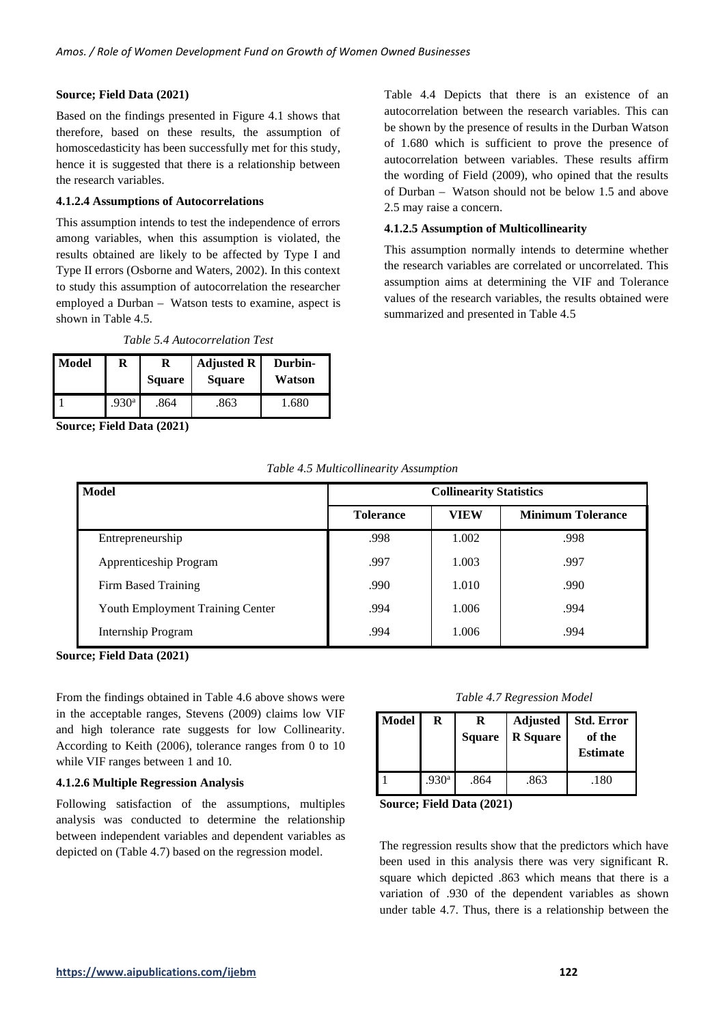## **Source; Field Data (2021)**

Based on the findings presented in Figure 4.1 shows that therefore, based on these results, the assumption of homoscedasticity has been successfully met for this study, hence it is suggested that there is a relationship between the research variables.

#### **4.1.2.4 Assumptions of Autocorrelations**

This assumption intends to test the independence of errors among variables, when this assumption is violated, the results obtained are likely to be affected by Type I and Type II errors (Osborne and Waters, 2002). In this context to study this assumption of autocorrelation the researcher employed a Durban – Watson tests to examine, aspect is shown in Table 4.5.

*Table 5.4 Autocorrelation Test*

| Model | R                 | <b>Square</b> | <b>Adjusted R</b><br><b>Square</b> | Durbin-<br>Watson |
|-------|-------------------|---------------|------------------------------------|-------------------|
|       | .930 <sup>a</sup> | .864          | .863                               | 1.680             |

**Source; Field Data (2021)**

Table 4.4 Depicts that there is an existence of an autocorrelation between the research variables. This can be shown by the presence of results in the Durban Watson of 1.680 which is sufficient to prove the presence of autocorrelation between variables. These results affirm the wording of Field (2009), who opined that the results of Durban – Watson should not be below 1.5 and above 2.5 may raise a concern.

#### **4.1.2.5 Assumption of Multicollinearity**

This assumption normally intends to determine whether the research variables are correlated or uncorrelated. This assumption aims at determining the VIF and Tolerance values of the research variables, the results obtained were summarized and presented in Table 4.5

| Table 4.5 Multicollinearity Assumption |  |  |
|----------------------------------------|--|--|
|                                        |  |  |

| <b>Model</b>                     | <b>Collinearity Statistics</b> |             |                          |  |
|----------------------------------|--------------------------------|-------------|--------------------------|--|
|                                  | <b>Tolerance</b>               | <b>VIEW</b> | <b>Minimum Tolerance</b> |  |
| Entrepreneurship                 | .998                           | 1.002       | .998                     |  |
| Apprenticeship Program           | .997                           | 1.003       | .997                     |  |
| Firm Based Training              | .990                           | 1.010       | .990                     |  |
| Youth Employment Training Center | .994                           | 1.006       | .994                     |  |
| Internship Program               | .994                           | 1.006       | .994                     |  |

**Source; Field Data (2021)**

From the findings obtained in Table 4.6 above shows were in the acceptable ranges, Stevens (2009) claims low VIF and high tolerance rate suggests for low Collinearity. According to Keith (2006), tolerance ranges from 0 to 10 while VIF ranges between 1 and 10.

#### **4.1.2.6 Multiple Regression Analysis**

Following satisfaction of the assumptions, multiples analysis was conducted to determine the relationship between independent variables and dependent variables as depicted on (Table 4.7) based on the regression model.

#### *Table 4.7 Regression Model*

| <b>Model</b> | R                 | <b>Square</b> | <b>Adjusted</b><br><b>R</b> Square | <b>Std. Error</b><br>of the<br><b>Estimate</b> |
|--------------|-------------------|---------------|------------------------------------|------------------------------------------------|
|              | .930 <sup>a</sup> | .864          | .863                               | .180                                           |

**Source; Field Data (2021)**

The regression results show that the predictors which have been used in this analysis there was very significant R. square which depicted .863 which means that there is a variation of .930 of the dependent variables as shown under table 4.7. Thus, there is a relationship between the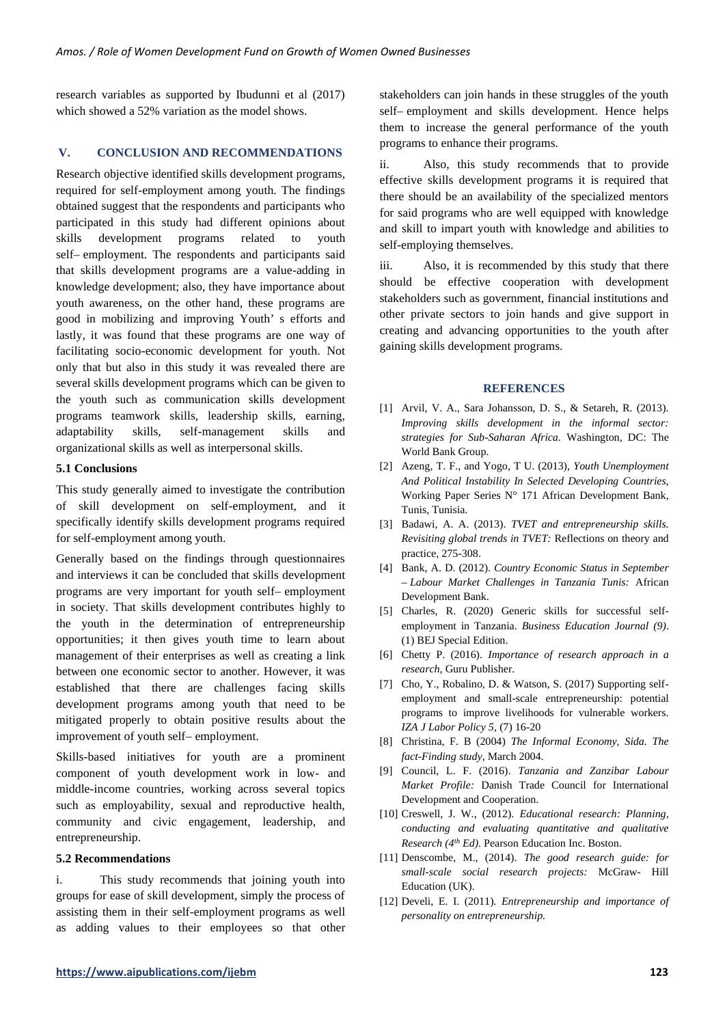research variables as supported by Ibudunni et al (2017) which showed a 52% variation as the model shows.

# **V. CONCLUSION AND RECOMMENDATIONS**

Research objective identified skills development programs, required for self-employment among youth. The findings obtained suggest that the respondents and participants who participated in this study had different opinions about skills development programs related to youth self– employment. The respondents and participants said that skills development programs are a value-adding in knowledge development; also, they have importance about youth awareness, on the other hand, these programs are good in mobilizing and improving Youth' s efforts and lastly, it was found that these programs are one way of facilitating socio-economic development for youth. Not only that but also in this study it was revealed there are several skills development programs which can be given to the youth such as communication skills development programs teamwork skills, leadership skills, earning, adaptability skills, self-management skills and organizational skills as well as interpersonal skills.

## **5.1 Conclusions**

This study generally aimed to investigate the contribution of skill development on self-employment, and it specifically identify skills development programs required for self-employment among youth.

Generally based on the findings through questionnaires and interviews it can be concluded that skills development programs are very important for youth self– employment in society. That skills development contributes highly to the youth in the determination of entrepreneurship opportunities; it then gives youth time to learn about management of their enterprises as well as creating a link between one economic sector to another. However, it was established that there are challenges facing skills development programs among youth that need to be mitigated properly to obtain positive results about the improvement of youth self– employment.

Skills-based initiatives for youth are a prominent component of youth development work in low- and middle-income countries, working across several topics such as employability, sexual and reproductive health, community and civic engagement, leadership, and entrepreneurship.

## **5.2 Recommendations**

i. This study recommends that joining youth into groups for ease of skill development, simply the process of assisting them in their self-employment programs as well as adding values to their employees so that other stakeholders can join hands in these struggles of the youth self– employment and skills development. Hence helps them to increase the general performance of the youth programs to enhance their programs.

ii. Also, this study recommends that to provide effective skills development programs it is required that there should be an availability of the specialized mentors for said programs who are well equipped with knowledge and skill to impart youth with knowledge and abilities to self-employing themselves.

iii. Also, it is recommended by this study that there should be effective cooperation with development stakeholders such as government, financial institutions and other private sectors to join hands and give support in creating and advancing opportunities to the youth after gaining skills development programs.

#### **REFERENCES**

- [1] Arvil, V. A., Sara Johansson, D. S., & Setareh, R. (2013). *Improving skills development in the informal sector: strategies for Sub-Saharan Africa.* Washington, DC: The World Bank Group.
- [2] Azeng, T. F., and Yogo, T U. (2013), *Youth Unemployment And Political Instability In Selected Developing Countries,*  Working Paper Series N° 171 African Development Bank, Tunis, Tunisia.
- [3] Badawi, A. A. (2013). *TVET and entrepreneurship skills. Revisiting global trends in TVET:* Reflections on theory and practice, 275-308.
- [4] Bank, A. D. (2012). *Country Economic Status in September – Labour Market Challenges in Tanzania Tunis:* African Development Bank.
- [5] Charles, R. (2020) Generic skills for successful selfemployment in Tanzania. *Business Education Journal (9)*. (1) BEJ Special Edition.
- [6] Chetty P. (2016). *Importance of research approach in a research,* Guru Publisher.
- [7] Cho, Y., Robalino, D. & Watson, S. (2017) Supporting selfemployment and small-scale entrepreneurship: potential programs to improve livelihoods for vulnerable workers. *IZA J Labor Policy 5,* (7) 16-20
- [8] Christina, F. B (2004) *The Informal Economy, Sida. The fact-Finding study,* March 2004.
- [9] Council, L. F. (2016). *Tanzania and Zanzibar Labour Market Profile:* Danish Trade Council for International Development and Cooperation.
- [10] Creswell, J. W., (2012). *Educational research: Planning, conducting and evaluating quantitative and qualitative Research (4th Ed).* Pearson Education Inc. Boston.
- [11] Denscombe, M., (2014). *The good research guide: for small-scale social research projects:* McGraw- Hill Education (UK).
- [12] Develi, E. I. (2011). *Entrepreneurship and importance of personality on entrepreneurship.*